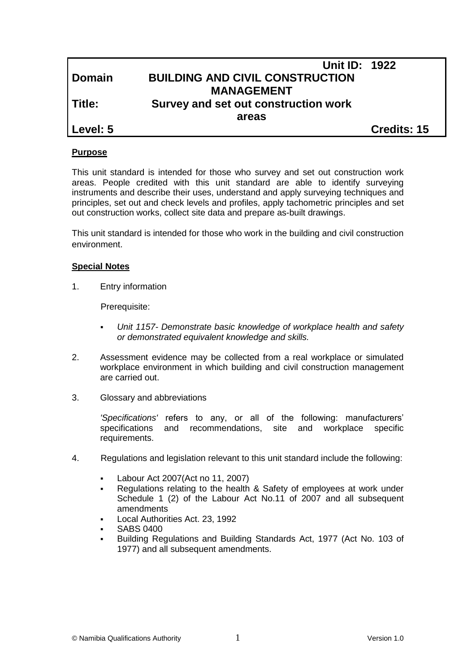|               | <b>Unit ID: 1922</b>                   |                    |
|---------------|----------------------------------------|--------------------|
| <b>Domain</b> | <b>BUILDING AND CIVIL CONSTRUCTION</b> |                    |
|               | <b>MANAGEMENT</b>                      |                    |
| Title:        | Survey and set out construction work   |                    |
|               | areas                                  |                    |
| Level: 5      |                                        | <b>Credits: 15</b> |

### **Purpose**

This unit standard is intended for those who survey and set out construction work areas. People credited with this unit standard are able to identify surveying instruments and describe their uses, understand and apply surveying techniques and principles, set out and check levels and profiles, apply tachometric principles and set out construction works, collect site data and prepare as-built drawings.

This unit standard is intended for those who work in the building and civil construction environment.

## **Special Notes**

1. Entry information

Prerequisite:

- *Unit 1157- Demonstrate basic knowledge of workplace health and safety or demonstrated equivalent knowledge and skills.*
- 2. Assessment evidence may be collected from a real workplace or simulated workplace environment in which building and civil construction management are carried out.
- 3. Glossary and abbreviations

*'Specifications'* refers to any, or all of the following: manufacturers' specifications and recommendations, site and workplace specific requirements.

- 4. Regulations and legislation relevant to this unit standard include the following:
	- Labour Act 2007(Act no 11, 2007)
	- Regulations relating to the health & Safety of employees at work under Schedule 1 (2) of the Labour Act No.11 of 2007 and all subsequent amendments
	- Local Authorities Act. 23, 1992
	- SABS 0400
	- Building Regulations and Building Standards Act, 1977 (Act No. 103 of 1977) and all subsequent amendments.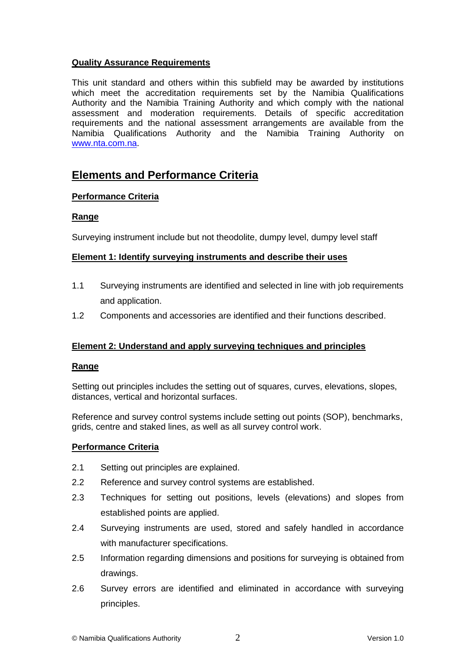## **Quality Assurance Requirements**

This unit standard and others within this subfield may be awarded by institutions which meet the accreditation requirements set by the Namibia Qualifications Authority and the Namibia Training Authority and which comply with the national assessment and moderation requirements. Details of specific accreditation requirements and the national assessment arrangements are available from the Namibia Qualifications Authority and the Namibia Training Authority on [www.nta.com.na.](http://www.nta.com.na/)

# **Elements and Performance Criteria**

# **Performance Criteria**

## **Range**

Surveying instrument include but not theodolite, dumpy level, dumpy level staff

## **Element 1: Identify surveying instruments and describe their uses**

- 1.1 Surveying instruments are identified and selected in line with job requirements and application.
- 1.2 Components and accessories are identified and their functions described.

# **Element 2: Understand and apply surveying techniques and principles**

### **Range**

Setting out principles includes the setting out of squares, curves, elevations, slopes, distances, vertical and horizontal surfaces.

Reference and survey control systems include setting out points (SOP), benchmarks, grids, centre and staked lines, as well as all survey control work.

# **Performance Criteria**

- 2.1 Setting out principles are explained.
- 2.2 Reference and survey control systems are established.
- 2.3 Techniques for setting out positions, levels (elevations) and slopes from established points are applied.
- 2.4 Surveying instruments are used, stored and safely handled in accordance with manufacturer specifications.
- 2.5 Information regarding dimensions and positions for surveying is obtained from drawings.
- 2.6 Survey errors are identified and eliminated in accordance with surveying principles.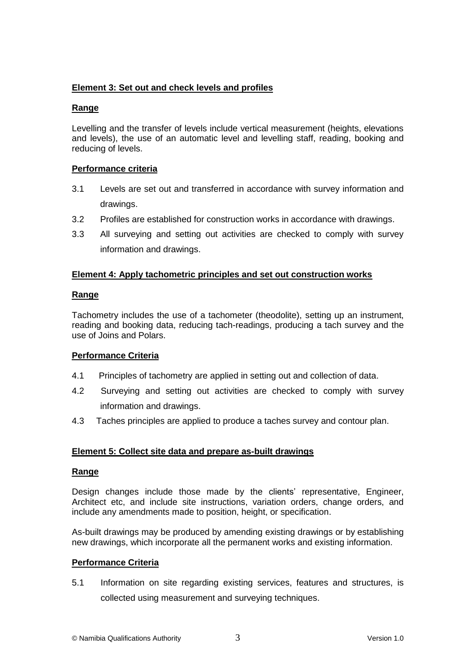# **Element 3: Set out and check levels and profiles**

## **Range**

Levelling and the transfer of levels include vertical measurement (heights, elevations and levels), the use of an automatic level and levelling staff, reading, booking and reducing of levels.

# **Performance criteria**

- 3.1 Levels are set out and transferred in accordance with survey information and drawings.
- 3.2 Profiles are established for construction works in accordance with drawings.
- 3.3 All surveying and setting out activities are checked to comply with survey information and drawings.

# **Element 4: Apply tachometric principles and set out construction works**

## **Range**

Tachometry includes the use of a tachometer (theodolite), setting up an instrument, reading and booking data, reducing tach-readings, producing a tach survey and the use of Joins and Polars.

# **Performance Criteria**

- 4.1 Principles of tachometry are applied in setting out and collection of data.
- 4.2 Surveying and setting out activities are checked to comply with survey information and drawings.
- 4.3 Taches principles are applied to produce a taches survey and contour plan.

# **Element 5: Collect site data and prepare as-built drawings**

### **Range**

Design changes include those made by the clients' representative, Engineer, Architect etc, and include site instructions, variation orders, change orders, and include any amendments made to position, height, or specification.

As-built drawings may be produced by amending existing drawings or by establishing new drawings, which incorporate all the permanent works and existing information.

### **Performance Criteria**

5.1 Information on site regarding existing services, features and structures, is collected using measurement and surveying techniques.